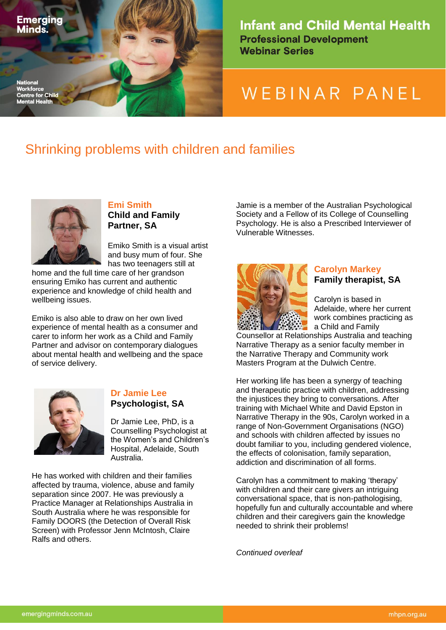

**Infant and Child Mental Health Professional Development Webinar Series** 

# WEBINAR PANEL

## Shrinking problems with children and families



**Emi Smith Child and Family Partner, SA**

Emiko Smith is a visual artist and busy mum of four. She has two teenagers still at

home and the full time care of her grandson ensuring Emiko has current and authentic experience and knowledge of child health and wellbeing issues.

Emiko is also able to draw on her own lived experience of mental health as a consumer and carer to inform her work as a Child and Family Partner and advisor on contemporary dialogues about mental health and wellbeing and the space of service delivery.



#### **Dr Jamie Lee Psychologist, SA**

Dr Jamie Lee, PhD, is a Counselling Psychologist at the Women's and Children's Hospital, Adelaide, South Australia.

He has worked with children and their families affected by trauma, violence, abuse and family separation since 2007. He was previously a Practice Manager at Relationships Australia in South Australia where he was responsible for Family DOORS (the Detection of Overall Risk Screen) with Professor Jenn McIntosh, Claire Ralfs and others.

Jamie is a member of the Australian Psychological Society and a Fellow of its College of Counselling Psychology. He is also a Prescribed Interviewer of Vulnerable Witnesses.



#### **Carolyn Markey Family therapist, SA**

Carolyn is based in Adelaide, where her current work combines practicing as a Child and Family

Counsellor at Relationships Australia and teaching Narrative Therapy as a senior faculty member in the Narrative Therapy and Community work Masters Program at the Dulwich Centre.

Her working life has been a synergy of teaching and therapeutic practice with children, addressing the injustices they bring to conversations. After training with Michael White and David Epston in Narrative Therapy in the 90s, Carolyn worked in a range of Non-Government Organisations (NGO) and schools with children affected by issues no doubt familiar to you, including gendered violence, the effects of colonisation, family separation, addiction and discrimination of all forms.

Carolyn has a commitment to making 'therapy' with children and their care givers an intriguing conversational space, that is non-pathologising, hopefully fun and culturally accountable and where children and their caregivers gain the knowledge needed to shrink their problems!

*Continued overleaf*